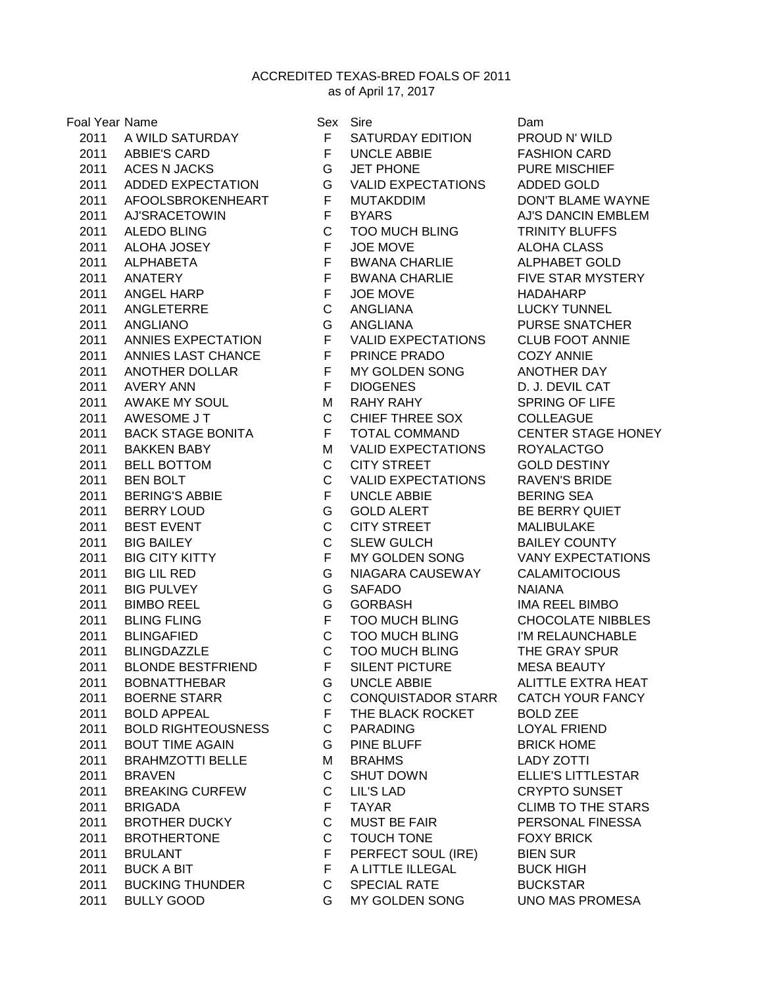ACCREDITED TEXAS-BRED FOALS OF 2011

as of April 17, 2017

| Foal Year Name |                           | Sex          | Sire                      | Dam                |
|----------------|---------------------------|--------------|---------------------------|--------------------|
| 2011           | A WILD SATURDAY           | F            | SATURDAY EDITION          | <b>PROUD</b>       |
|                | 2011 ABBIE'S CARD         | F            | <b>UNCLE ABBIE</b>        | <b>FASHIO</b>      |
|                | 2011 ACES N JACKS         | G            | <b>JET PHONE</b>          | <b>PURE M</b>      |
|                | 2011 ADDED EXPECTATION    | G            | VALID EXPECTATIONS        | ADDED              |
| 2011           | AFOOLSBROKENHEART         | F            | <b>MUTAKDDIM</b>          | <b>DON'T E</b>     |
| 2011           | <b>AJ'SRACETOWIN</b>      | $\mathsf F$  | <b>BYARS</b>              | AJ'S DA            |
| 2011           | <b>ALEDO BLING</b>        | $\mathsf C$  | <b>TOO MUCH BLING</b>     | <b>TRINITY</b>     |
| 2011           | ALOHA JOSEY               | F.           | JOE MOVE                  | <b>ALOHA</b>       |
| 2011           | ALPHABETA                 | F.           | <b>BWANA CHARLIE</b>      | <b>ALPHAE</b>      |
| 2011           | ANATERY                   | F.           | <b>BWANA CHARLIE</b>      | <b>FIVE ST</b>     |
| 2011           | ANGEL HARP                | F            | JOE MOVE                  | HADAH              |
| 2011           | ANGLETERRE                | $\mathsf C$  | ANGLIANA                  | LUCKY <sup>:</sup> |
| 2011           | <b>ANGLIANO</b>           | G            | ANGLIANA                  | <b>PURSE</b>       |
| 2011           | ANNIES EXPECTATION        | F            | <b>VALID EXPECTATIONS</b> | CLUB <sub>F®</sub> |
| 2011           | ANNIES LAST CHANCE        | F            | PRINCE PRADO              | COZY A             |
| 2011           | ANOTHER DOLLAR            | F            | MY GOLDEN SONG            | <b>ANOTHI</b>      |
| 2011           | AVERY ANN                 | $\mathsf F$  | <b>DIOGENES</b>           | D. J. DE           |
| 2011           | AWAKE MY SOUL             | M            | <b>RAHY RAHY</b>          | <b>SPRING</b>      |
| 2011           | AWESOME J T               | $\mathsf C$  | CHIEF THREE SOX           | <b>COLLEA</b>      |
| 2011           | BACK STAGE BONITA         | F            | TOTAL COMMAND             | <b>CENTER</b>      |
| 2011           | <b>BAKKEN BABY</b>        | M            | <b>VALID EXPECTATIONS</b> | <b>ROYALA</b>      |
| 2011           | <b>BELL BOTTOM</b>        | $\mathsf{C}$ | <b>CITY STREET</b>        | <b>GOLD D</b>      |
| 2011           | <b>BEN BOLT</b>           | $\mathsf{C}$ | <b>VALID EXPECTATIONS</b> | RAVEN'             |
| 2011           | <b>BERING'S ABBIE</b>     | F            | UNCLE ABBIE               | <b>BERING</b>      |
| 2011           | <b>BERRY LOUD</b>         | G            | <b>GOLD ALERT</b>         | <b>BE BER</b>      |
| 2011           | <b>BEST EVENT</b>         | $\mathsf C$  | CITY STREET               | <b>MALIBU</b>      |
| 2011           | <b>BIG BAILEY</b>         | $\mathsf C$  | SLEW GULCH                | <b>BAILEY</b>      |
|                |                           | F            |                           |                    |
| 2011           | <b>BIG CITY KITTY</b>     |              | MY GOLDEN SONG            | VANY E             |
| 2011           | <b>BIG LIL RED</b>        | G            | NIAGARA CAUSEWAY          | <b>CALAMI</b>      |
| 2011           | <b>BIG PULVEY</b>         | G            | <b>SAFADO</b>             | <b>NAIANA</b>      |
| 2011           | <b>BIMBO REEL</b>         | G            | GORBASH                   | <b>IMA REI</b>     |
| 2011           | <b>BLING FLING</b>        | $\mathsf F$  | <b>TOO MUCH BLING</b>     | CHOCO              |
| 2011           | <b>BLINGAFIED</b>         | $\mathsf C$  | <b>TOO MUCH BLING</b>     | I'M REL            |
| 2011           | <b>BLINGDAZZLE</b>        | $\mathsf{C}$ | <b>TOO MUCH BLING</b>     | THE GR             |
| 2011           | <b>BLONDE BESTFRIEND</b>  | $\mathsf{F}$ | SILENT PICTURE            | <b>MESAB</b>       |
| 2011           | <b>BOBNATTHEBAR</b>       | G            | <b>UNCLE ABBIE</b>        | <b>ALITTLE</b>     |
| 2011           | <b>BOERNE STARR</b>       | $\mathsf{C}$ | <b>CONQUISTADOR STARR</b> | <b>CATCH</b>       |
| 2011           | <b>BOLD APPEAL</b>        | F.           | THE BLACK ROCKET          | <b>BOLD Z</b>      |
| 2011           | <b>BOLD RIGHTEOUSNESS</b> | $\mathsf{C}$ | <b>PARADING</b>           | <b>LOYAL</b>       |
| 2011           | <b>BOUT TIME AGAIN</b>    | G.           | PINE BLUFF                | <b>BRICK H</b>     |
| 2011           | <b>BRAHMZOTTI BELLE</b>   | М            | <b>BRAHMS</b>             | LADY Z             |
| 2011           | <b>BRAVEN</b>             | C            | <b>SHUT DOWN</b>          | ELLIE'S            |
| 2011           | <b>BREAKING CURFEW</b>    | $\mathsf C$  | <b>LIL'S LAD</b>          | <b>CRYPT</b>       |
| 2011           | <b>BRIGADA</b>            | F            | <b>TAYAR</b>              | <b>CLIMB 1</b>     |
| 2011           | <b>BROTHER DUCKY</b>      | $\mathsf C$  | <b>MUST BE FAIR</b>       | <b>PERSOI</b>      |
| 2011           | <b>BROTHERTONE</b>        | C            | TOUCH TONE                | <b>FOXY B</b>      |
| 2011           | <b>BRULANT</b>            | F.           | PERFECT SOUL (IRE)        | <b>BIEN SL</b>     |
| 2011           | <b>BUCK A BIT</b>         | F.           | A LITTLE ILLEGAL          | <b>BUCK H</b>      |
| 2011           | <b>BUCKING THUNDER</b>    | C            | <b>SPECIAL RATE</b>       | <b>BUCKS</b>       |
| 2011           | <b>BULLY GOOD</b>         | G            | MY GOLDEN SONG            | UNO M/             |

F SATURDAY EDITION PROUD N' WILD F UNCLE ABBIE FASHION CARD **2012 G JET PHONE PURE MISCHIEF** G VALID EXPECTATIONS ADDED GOLD F MUTAKDDIM DON'T BLAME WAYNE F BYARS AJ'S DANCIN EMBLEM C TOO MUCH BLING TRINITY BLUFFS F JOE MOVE ALOHA CLASS F BWANA CHARLIE ALPHABET GOLD F BWANA CHARLIE FIVE STAR MYSTERY F JOE MOVE HADAHARP C ANGLIANA LUCKY TUNNEL 2011 ANGLIANO G ANGLIANA PURSE SNATCHER F VALID EXPECTATIONS CLUB FOOT ANNIE F PRINCE PRADO COZY ANNIE F MY GOLDEN SONG ANOTHER DAY F DIOGENES D. J. DEVIL CAT M RAHY RAHY SPRING OF LIFE C CHIEF THREE SOX COLLEAGUE F TOTAL COMMAND CENTER STAGE HONEY M VALID EXPECTATIONS ROYALACTGO C CITY STREET GOLD DESTINY C VALID EXPECTATIONS RAVEN'S BRIDE F UNCLE ABBIE BERING SEA 2012 G GOLD ALERT BE BERRY QUIET C CITY STREET MALIBULAKE C SLEW GULCH BAILEY COUNTY F MY GOLDEN SONG VANY EXPECTATIONS G NIAGARA CAUSEWAY CALAMITOCIOUS **2012 GORBASH IMA REEL BIMBO** F TOO MUCH BLING CHOCOLATE NIBBLES C TOO MUCH BLING I'M RELAUNCHABLE C TOO MUCH BLING THE GRAY SPUR F SILENT PICTURE MESA BEAUTY G UNCLE ABBIE ALITTLE EXTRA HEAT C CONQUISTADOR STARR CATCH YOUR FANCY F THE BLACK ROCKET BOLD ZEE C PARADING LOYAL FRIEND G PINE BLUFF BRICK HOME M BRAHMS LADY ZOTTI C SHUT DOWN ELLIE'S LITTLESTAR C LIL'S LAD CRYPTO SUNSET F TAYAR CLIMB TO THE STARS C MUST BE FAIR PERSONAL FINESSA C TOUCH TONE FOXY BRICK F PERFECT SOUL (IRE) BIEN SUR F A LITTLE ILLEGAL BUCK HIGH C SPECIAL RATE BUCKSTAR G MY GOLDEN SONG UNO MAS PROMESA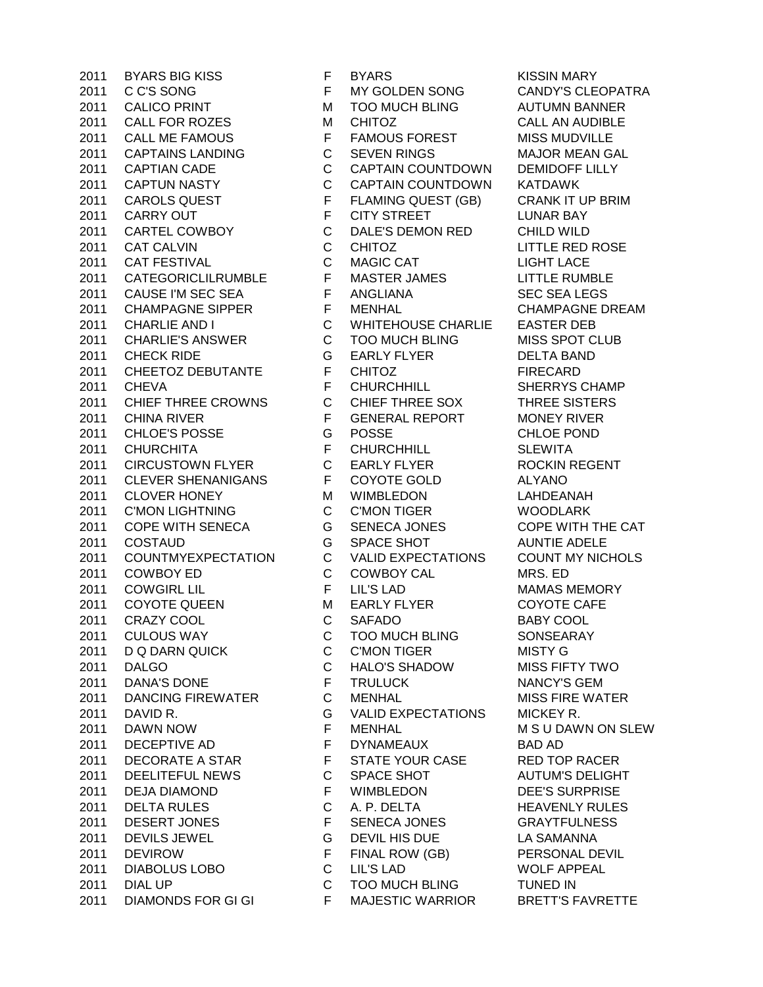C C'S SONG F MY GOLDEN SONG CANDY'S CLEOPATRA 2011 CALICO PRINT M TOO MUCH BLING AUTUMN BANNER 2011 CALL FOR ROZES MCHITOZ CALL AN AUDIBLE 2011 CALL ME FAMOUS **FRAMOUS FOREST MISS MUDVILLE**  CAPTAINS LANDING C SEVEN RINGS MAJOR MEAN GAL CAPTIAN CADE C CAPTAIN COUNTDOWN DEMIDOFF LILLY CAPTUN NASTY C CAPTAIN COUNTDOWN KATDAWK 2011 CAROLS QUEST FELAMING QUEST (GB) CRANK IT UP BRIM 2011 CARRY OUT F CITY STREET LUNAR BAY CARTEL COWBOY C DALE'S DEMON RED CHILD WILD CAT CALVIN C CHITOZ LITTLE RED ROSE CAT FESTIVAL C MAGIC CAT LIGHT LACE CATEGORICLILRUMBLE F MASTER JAMES LITTLE RUMBLE 2011 CAUSE I'M SEC SEA F ANGLIANA SEC SEA LEGS CHAMPAGNE SIPPER F MENHAL CHAMPAGNE DREAM CHARLIE AND I C WHITEHOUSE CHARLIE EASTER DEB 2011 CHARLIE'S ANSWER C TOO MUCH BLING MISS SPOT CLUB CHECK RIDE G EARLY FLYER DELTA BAND 2011 CHEETOZ DEBUTANTE F CHITOZ FIRECARD CHEVA F CHURCHHILL SHERRYS CHAMP CHIEF THREE CROWNS C CHIEF THREE SOX THREE SISTERS 2011 CHINA RIVER **F** GENERAL REPORT MONEY RIVER CHLOE'S POSSE G POSSE CHLOE POND CHURCHITA F CHURCHHILL SLEWITA CIRCUSTOWN FLYER C EARLY FLYER ROCKIN REGENT CLEVER SHENANIGANS F COYOTE GOLD ALYANO 2011 CLOVER HONEY M WIMBLEDON LAHDEANAH 2011 C'MON LIGHTNING C C'MON TIGER WOODLARK COPE WITH SENECA G SENECA JONES COPE WITH THE CAT 2011 COSTAUD G SPACE SHOT AUNTIE ADELE COUNTMYEXPECTATION C VALID EXPECTATIONS COUNT MY NICHOLS COWBOY ED C COWBOY CAL MRS. ED COWGIRL LIL F LIL'S LAD MAMAS MEMORY 2011 COYOTE QUEEN MEARLY FLYER COYOTE CAFE CRAZY COOL C SAFADO BABY COOL CULOUS WAY C TOO MUCH BLING SONSEARAY 2011 D Q DARN QUICK C C'MON TIGER MISTY G DALGO C HALO'S SHADOW MISS FIFTY TWO DANA'S DONE F TRULUCK NANCY'S GEM DANCING FIREWATER C MENHAL MISS FIRE WATER DAVID R. G VALID EXPECTATIONS MICKEY R. DAWN NOW F MENHAL M S U DAWN ON SLEW DECEPTIVE AD F DYNAMEAUX BAD AD 2011 DECORATE A STAR F STATE YOUR CASE RED TOP RACER 2011 DEELITEFUL NEWS C SPACE SHOT AUTUM'S DELIGHT DEJA DIAMOND F WIMBLEDON DEE'S SURPRISE DELTA RULES C A. P. DELTA HEAVENLY RULES DESERT JONES F SENECA JONES GRAYTFULNESS DEVILS JEWEL G DEVIL HIS DUE LA SAMANNA DEVIROW F FINAL ROW (GB) PERSONAL DEVIL DIABOLUS LOBO C LIL'S LAD WOLF APPEAL 2011 DIAL UP C TOO MUCH BLING TUNED IN 2011 DIAMONDS FOR GI GI F MAJESTIC WARRIOR BRETT'S FAVRETTE

2011 BYARS BIG KISS FBYARS F BYARS KISSIN MARY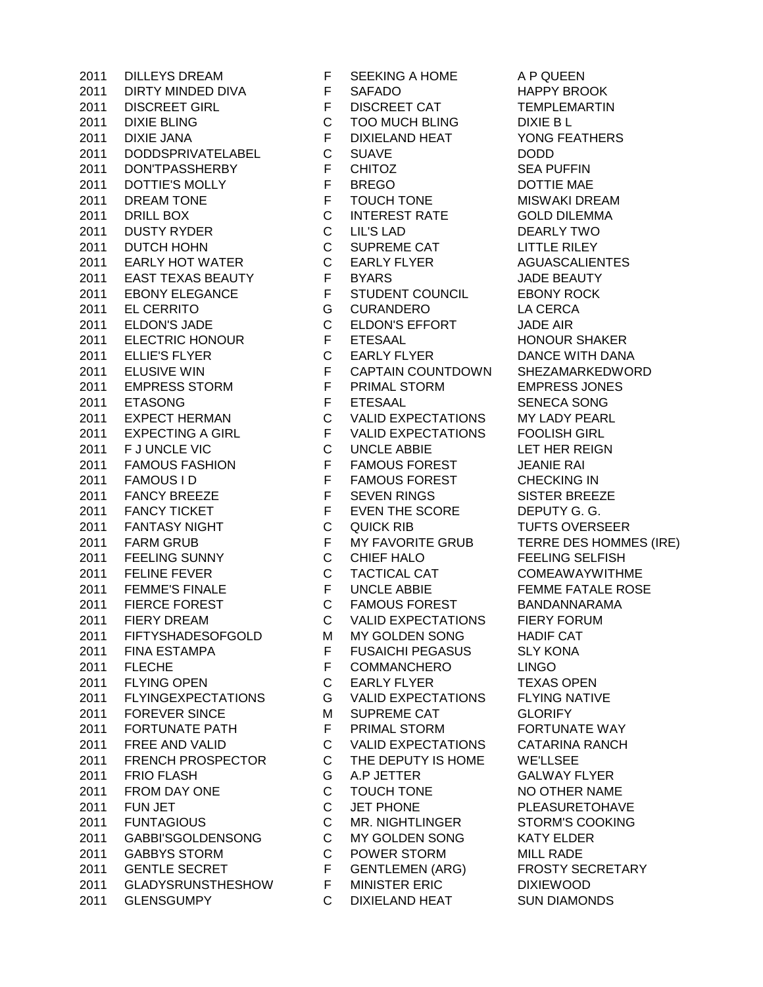2011 DIRTY MINDED DIVA F SAFADO HAPPY BROOK DISCREET GIRL F DISCREET CAT TEMPLEMARTIN 2011 DIXIE BLING C TOO MUCH BLING DIXIE B L DIXIE JANA F DIXIELAND HEAT YONG FEATHERS DODDSPRIVATELABEL C SUAVE DODD DON'TPASSHERBY F CHITOZ SEA PUFFIN 2011 DOTTIE'S MOLLY F BREGO DOTTIE MAE 2011 DREAM TONE F TOUCH TONE MISWAKI DREAM DRILL BOX C INTEREST RATE GOLD DILEMMA DUSTY RYDER C LIL'S LAD DEARLY TWO 2011 DUTCH HOHN C SUPREME CAT LITTLE RILEY EARLY HOT WATER C EARLY FLYER AGUASCALIENTES EAST TEXAS BEAUTY F BYARS JADE BEAUTY EBONY ELEGANCE F STUDENT COUNCIL EBONY ROCK EL CERRITO G CURANDERO LA CERCA ELDON'S JADE C ELDON'S EFFORT JADE AIR ELECTRIC HONOUR F ETESAAL HONOUR SHAKER 2011 ELLIE'S FLYER C EARLY FLYER DANCE WITH DANA ELUSIVE WIN F CAPTAIN COUNTDOWN SHEZAMARKEDWORD EMPRESS STORM F PRIMAL STORM EMPRESS JONES ETASONG F ETESAAL SENECA SONG EXPECT HERMAN C VALID EXPECTATIONS MY LADY PEARL 2011 EXPECTING A GIRL F VALID EXPECTATIONS FOOLISH GIRL 2011 F J UNCLE VIC C UNCLE ABBIE LET HER REIGN FAMOUS FASHION F FAMOUS FOREST JEANIE RAI 2011 FAMOUS I D F FAMOUS FOREST CHECKING IN 2011 FANCY BREEZE F SEVEN RINGS SISTER BREEZE 2011 FANCY TICKET F EVEN THE SCORE DEPUTY G. G. FANTASY NIGHT C QUICK RIB TUFTS OVERSEER FARM GRUB F MY FAVORITE GRUB TERRE DES HOMMES (IRE) 2011 FEELING SUNNY C CHIEF HALO FEELING SELFISH FELINE FEVER C TACTICAL CAT COMEAWAYWITHME 2011 FEMME'S FINALE F UNCLE ABBIE FEMME FATALE ROSE FIERCE FOREST C FAMOUS FOREST BANDANNARAMA FIERY DREAM C VALID EXPECTATIONS FIERY FORUM FIFTYSHADESOFGOLD M MY GOLDEN SONG HADIF CAT 2011 FINA ESTAMPA F FUSAICHI PEGASUS SLY KONA 2011 FLECHE **F COMMANCHERO** LINGO 2011 FLYING OPEN C EARLY FLYER TEXAS OPEN FLYINGEXPECTATIONS G VALID EXPECTATIONS FLYING NATIVE 2011 FOREVER SINCE M SUPREME CAT GLORIFY 2011 FORTUNATE PATH F PRIMAL STORM FORTUNATE WAY FREE AND VALID C VALID EXPECTATIONS CATARINA RANCH 2011 FRENCH PROSPECTOR C THE DEPUTY IS HOME WE'LLSEE FRIO FLASH G A.P JETTER GALWAY FLYER 2011 FROM DAY ONE C TOUCH TONE NO OTHER NAME FUN JET C JET PHONE PLEASURETOHAVE FUNTAGIOUS C MR. NIGHTLINGER STORM'S COOKING GABBI'SGOLDENSONG C MY GOLDEN SONG KATY ELDER GABBYS STORM C POWER STORM MILL RADE GENTLE SECRET F GENTLEMEN (ARG) FROSTY SECRETARY GLADYSRUNSTHESHOW F MINISTER ERIC DIXIEWOOD GLENSGUMPY C DIXIELAND HEAT SUN DIAMONDS

DILLEYS DREAM F SEEKING A HOME A P QUEEN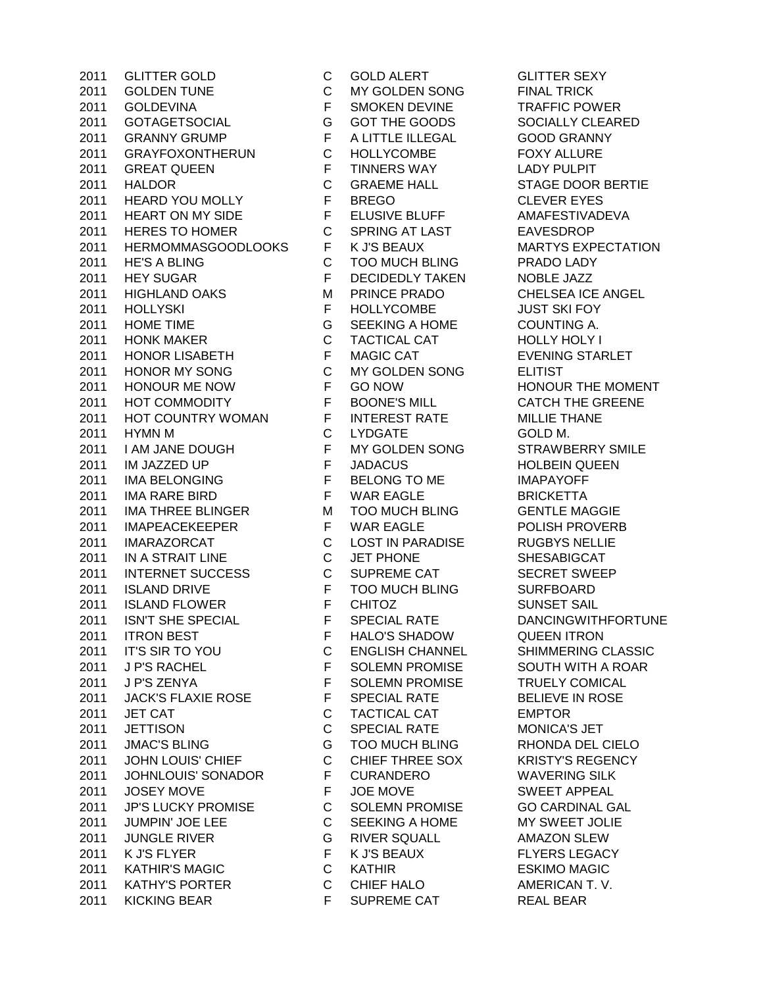2011 GOLDEN TUNE C MY GOLDEN SONG FINAL TRICK 2011 GOLDEVINA F SMOKEN DEVINE TRAFFIC POWER 2011 GOTAGETSOCIAL G GOT THE GOODS SOCIALLY CLEARED 2011 GRANNY GRUMP F A LITTLE ILLEGAL GOOD GRANNY 2011 GRAYFOXONTHERUN C HOLLYCOMBE FOXY ALLURE 2011 GREAT QUEEN F TINNERS WAY LADY PULPIT 2011 HALDOR C GRAEME HALL STAGE DOOR BERTIE 2011 HEARD YOU MOLLY F BREGO CLEVER EYES 2011 HEART ON MY SIDE FELUSIVE BLUFF AMAFESTIVADEVA 2011 HERES TO HOMER C SPRING AT LAST EAVESDROP 2011 HERMOMMASGOODLOOKS F K J'S BEAUX 6 MARTYS EXPECTATION 2011 HE'S A BLING C TOO MUCH BLING PRADO LADY 2011 HEY SUGAR F DECIDEDLY TAKEN NOBLE JAZZ 2011 HIGHLAND OAKS MPRINCE PRADO CHELSEA ICE ANGEL 2011 HOLLYSKI F HOLLYCOMBE JUST SKI FOY 2011 HOME TIME G SEEKING A HOME COUNTING A. 2011 HONK MAKER C TACTICAL CAT HOLLY HOLY I 2011 HONOR LISABETH F MAGIC CAT EVENING STARLET 2011 HONOR MY SONG C MY GOLDEN SONG ELITIST 2011 HONOUR ME NOW F GO NOW HONOUR THE MOMENT 2011 HOT COMMODITY F BOONE'S MILL CATCH THE GREENE 2011 HOT COUNTRY WOMAN F INTEREST RATE MILLIE THANE 2011 HYMN M C LYDGATE GOLD M. 2011 I AM JANE DOUGH F MY GOLDEN SONG STRAWBERRY SMILE 2011 IM JAZZED UP F JADACUS HOLBEIN QUEEN 2011 IMA BELONGING F BELONG TO ME IMAPAYOFF 2011 IMA RARE BIRD F WAR EAGLE BRICKETTA 2011 IMA THREE BLINGER M TOO MUCH BLING GENTLE MAGGIE 2011 IMAPEACEKEEPER F WAR EAGLE POLISH PROVERB 2011 IMARAZORCAT C LOST IN PARADISE RUGBYS NELLIE 2011 IN A STRAIT LINE C JET PHONE SHESABIGCAT 2011 INTERNET SUCCESS C SUPREME CAT SECRET SWEEP 2011 ISLAND DRIVE F TOO MUCH BLING SURFBOARD 2011 ISLAND FLOWER F CHITOZ SUNSET SAIL 2011 ISN'T SHE SPECIAL **F** SPECIAL RATE DANCINGWITHFORTUNE 2011 ITRON BEST F HALO'S SHADOW QUEEN ITRON 2011 IT'S SIR TO YOU C ENGLISH CHANNEL SHIMMERING CLASSIC 2011 J P'S RACHEL F SOLEMN PROMISE SOUTH WITH A ROAR 2011 J P'S ZENYA F SOLEMN PROMISE TRUELY COMICAL 2011 JACK'S FLAXIE ROSE F SPECIAL RATE BELIEVE IN ROSE 2011 JET CAT CONTROL CONTROL CONTROL CAT CONTROL CAT CONTROL CAT 2011 JETTISON C SPECIAL RATE MONICA'S JET 2011 JMAC'S BLING G TOO MUCH BLING RHONDA DEL CIELO 2011 JOHN LOUIS' CHIEF C CHIEF THREE SOX KRISTY'S REGENCY 2011 JOHNLOUIS' SONADOR F CURANDERO WAVERING SILK 2011 JOSEY MOVE F JOE MOVE SWEET APPEAL 2011 JP'S LUCKY PROMISE C SOLEMN PROMISE GO CARDINAL GAL 2011 JUMPIN' JOE LEE C SEEKING A HOME MY SWEET JOLIE 2011 JUNGLE RIVER G RIVER SQUALL AMAZON SLEW 2011 K J'S FLYER F K J'S BEAUX FLYERS LEGACY 2011 KATHIR'S MAGIC C KATHIR ESKIMO MAGIC 2011 KATHY'S PORTER C CHIEF HALO AMERICAN T.V. 2011 KICKING BEAR F SUPREME CAT REAL BEAR

2011 GLITTER GOLD C GOLD ALERT GLITTER SEXY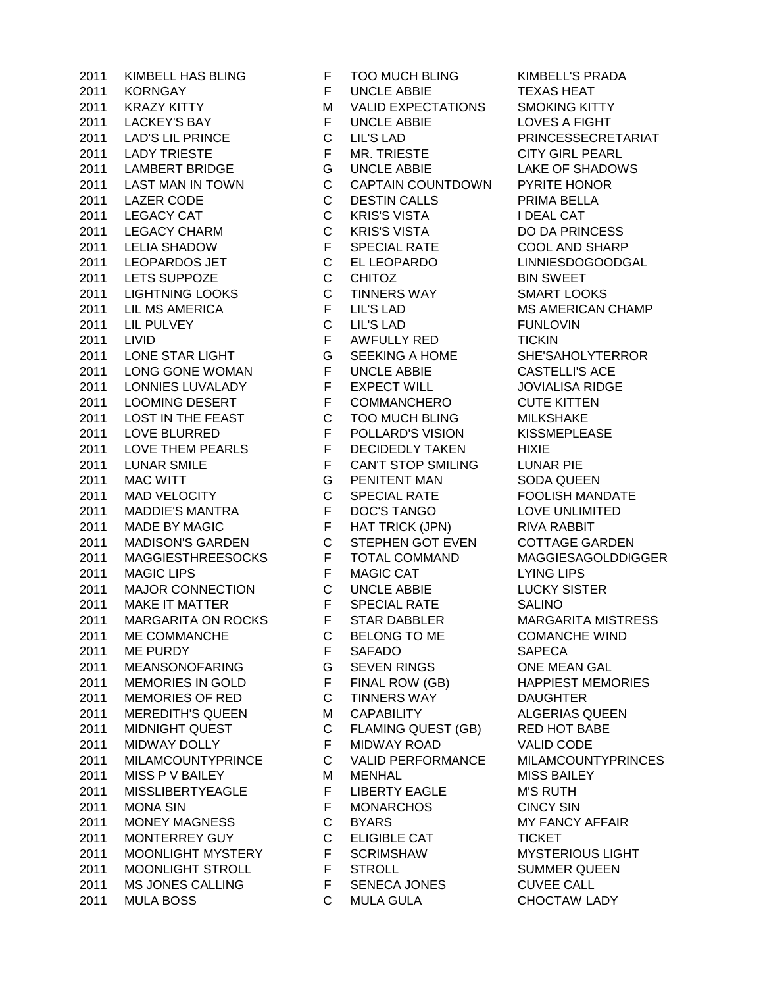2011 KORNGAY **FUNCLE ABBIE TEXAS HEAT** 2011 KRAZY KITTY M VALID EXPECTATIONS SMOKING KITTY 2011 LACKEY'S BAY FUNCLE ABBIE LOVES A FIGHT LAD'S LIL PRINCE C LIL'S LAD PRINCESSECRETARIAT LADY TRIESTE F MR. TRIESTE CITY GIRL PEARL LAMBERT BRIDGE G UNCLE ABBIE LAKE OF SHADOWS LAST MAN IN TOWN C CAPTAIN COUNTDOWN PYRITE HONOR 2011 LAZER CODE C DESTIN CALLS PRIMA BELLA LEGACY CAT C KRIS'S VISTA I DEAL CAT LEGACY CHARM C KRIS'S VISTA DO DA PRINCESS LELIA SHADOW F SPECIAL RATE COOL AND SHARP LEOPARDOS JET C EL LEOPARDO LINNIESDOGOODGAL 2011 LETS SUPPOZE C CHITOZ BIN SWEET LIGHTNING LOOKS C TINNERS WAY SMART LOOKS 2011 LIL MS AMERICA FILL'S LAD MS AMERICAN CHAMP LIL PULVEY C LIL'S LAD FUNLOVIN LIVID F AWFULLY RED TICKIN LONE STAR LIGHT G SEEKING A HOME SHE'SAHOLYTERROR LONG GONE WOMAN F UNCLE ABBIE CASTELLI'S ACE LONNIES LUVALADY F EXPECT WILL JOVIALISA RIDGE 2011 LOOMING DESERT F COMMANCHERO CUTE KITTEN 2011 LOST IN THE FEAST C TOO MUCH BLING MILKSHAKE LOVE BLURRED F POLLARD'S VISION KISSMEPLEASE 2011 LOVE THEM PEARLS F DECIDEDLY TAKEN HIXIE LUNAR SMILE F CAN'T STOP SMILING LUNAR PIE 2011 MAC WITT G PENITENT MAN SODA QUEEN MAD VELOCITY C SPECIAL RATE FOOLISH MANDATE MADDIE'S MANTRA F DOC'S TANGO LOVE UNLIMITED MADE BY MAGIC F HAT TRICK (JPN) RIVA RABBIT 2011 MADISON'S GARDEN C STEPHEN GOT EVEN COTTAGE GARDEN MAGGIESTHREESOCKS F TOTAL COMMAND MAGGIESAGOLDDIGGER 2011 MAGIC LIPS F MAGIC CAT LYING LIPS MAJOR CONNECTION C UNCLE ABBIE LUCKY SISTER 2011 MAKE IT MATTER F SPECIAL RATE SALINO 2011 MARGARITA ON ROCKS F STAR DABBLER MARGARITA MISTRESS ME COMMANCHE C BELONG TO ME COMANCHE WIND 2011 ME PURDY F SAFADO SAPECA MEANSONOFARING G SEVEN RINGS ONE MEAN GAL 2011 MEMORIES IN GOLD F FINAL ROW (GB) HAPPIEST MEMORIES MEMORIES OF RED C TINNERS WAY DAUGHTER 2011 MEREDITH'S QUEEN MCAPABILITY ALGERIAS QUEEN MIDNIGHT QUEST C FLAMING QUEST (GB) RED HOT BABE MIDWAY DOLLY F MIDWAY ROAD VALID CODE MILAMCOUNTYPRINCE C VALID PERFORMANCE MILAMCOUNTYPRINCES 2011 MISS P V BAILEY **MILLEY MILLER MISS BAILEY** MISS BAILEY MISSLIBERTYEAGLE F LIBERTY EAGLE M'S RUTH MONA SIN F MONARCHOS CINCY SIN MONEY MAGNESS C BYARS MY FANCY AFFAIR MONTERREY GUY C ELIGIBLE CAT TICKET MOONLIGHT MYSTERY F SCRIMSHAW MYSTERIOUS LIGHT MOONLIGHT STROLL F STROLL SUMMER QUEEN MS JONES CALLING F SENECA JONES CUVEE CALL MULA BOSS C MULA GULA CHOCTAW LADY

KIMBELL HAS BLING F TOO MUCH BLING KIMBELL'S PRADA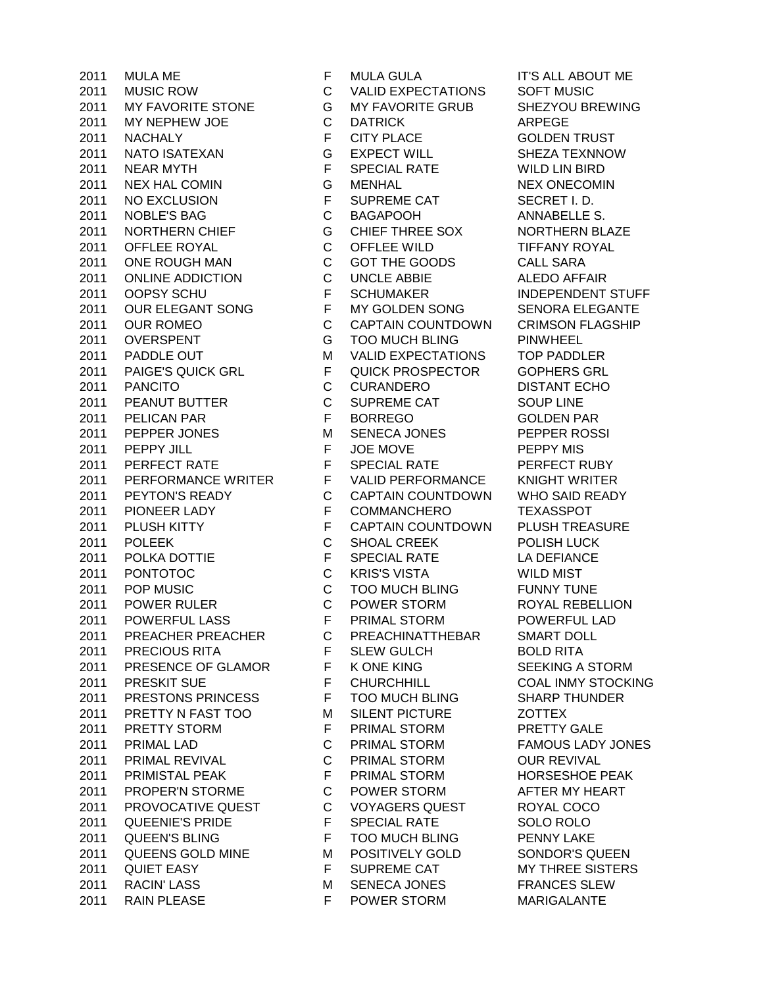MUSIC ROW C VALID EXPECTATIONS SOFT MUSIC MY FAVORITE STONE G MY FAVORITE GRUB SHEZYOU BREWING MY NEPHEW JOE C DATRICK ARPEGE NACHALY F CITY PLACE GOLDEN TRUST NATO ISATEXAN G EXPECT WILL SHEZA TEXNNOW NEAR MYTH F SPECIAL RATE WILD LIN BIRD NEX HAL COMIN G MENHAL NEX ONECOMIN 2011 NO EXCLUSION F SUPREME CAT SECRET I.D. NOBLE'S BAG C BAGAPOOH ANNABELLE S. NORTHERN CHIEF G CHIEF THREE SOX NORTHERN BLAZE OFFLEE ROYAL C OFFLEE WILD TIFFANY ROYAL 2011 ONE ROUGH MAN C GOT THE GOODS CALL SARA ONLINE ADDICTION C UNCLE ABBIE ALEDO AFFAIR 2011 OOPSY SCHU F SCHUMAKER INDEPENDENT STUFF OUR ELEGANT SONG F MY GOLDEN SONG SENORA ELEGANTE OUR ROMEO C CAPTAIN COUNTDOWN CRIMSON FLAGSHIP 2011 OVERSPENT G TOO MUCH BLING PINWHEEL 2011 PADDLE OUT M VALID EXPECTATIONS TOP PADDLER PAIGE'S QUICK GRL F QUICK PROSPECTOR GOPHERS GRL PANCITO C CURANDERO DISTANT ECHO 2011 PEANUT BUTTER C SUPREME CAT SOUP LINE PELICAN PAR F BORREGO GOLDEN PAR 2011 PEPPER JONES M SENECA JONES PEPPER ROSSI 2011 PEPPY JILL **FUGE MOVE PEPPY MIS** 2011 PERFECT RATE F SPECIAL RATE PERFECT RUBY 2011 PERFORMANCE WRITER F VALID PERFORMANCE KNIGHT WRITER PEYTON'S READY C CAPTAIN COUNTDOWN WHO SAID READY PIONEER LADY F COMMANCHERO TEXASSPOT 2011 PLUSH KITTY **F** CAPTAIN COUNTDOWN PLUSH TREASURE POLEEK C SHOAL CREEK POLISH LUCK 2011 POLKA DOTTIE F SPECIAL RATE LA DEFIANCE PONTOTOC C KRIS'S VISTA WILD MIST POP MUSIC C TOO MUCH BLING FUNNY TUNE POWER RULER C POWER STORM ROYAL REBELLION POWERFUL LASS F PRIMAL STORM POWERFUL LAD PREACHER PREACHER C PREACHINATTHEBAR SMART DOLL 2011 PRECIOUS RITA F SLEW GULCH BOLD RITA 2011 PRESENCE OF GLAMOR F K ONE KING SEEKING A STORM PRESKIT SUE F CHURCHHILL COAL INMY STOCKING PRESTONS PRINCESS F TOO MUCH BLING SHARP THUNDER 2011 PRETTY N FAST TOO MISILENT PICTURE AND THEX PRETTY STORM F PRIMAL STORM PRETTY GALE PRIMAL LAD C PRIMAL STORM FAMOUS LADY JONES PRIMAL REVIVAL C PRIMAL STORM OUR REVIVAL 2011 PRIMISTAL PEAK F PRIMAL STORM HORSESHOE PEAK PROPER'N STORME C POWER STORM AFTER MY HEART PROVOCATIVE QUEST C VOYAGERS QUEST ROYAL COCO QUEENIE'S PRIDE F SPECIAL RATE SOLO ROLO QUEEN'S BLING F TOO MUCH BLING PENNY LAKE 2011 QUEENS GOLD MINE MPOSITIVELY GOLD SONDOR'S QUEEN 2011 QUIET EASY **F** SUPREME CAT MY THREE SISTERS 2011 RACIN' LASS M SENECA JONES FRANCES SLEW 2011 RAIN PLEASE **F** POWER STORM MARIGALANTE

MULA ME F MULA GULA IT'S ALL ABOUT ME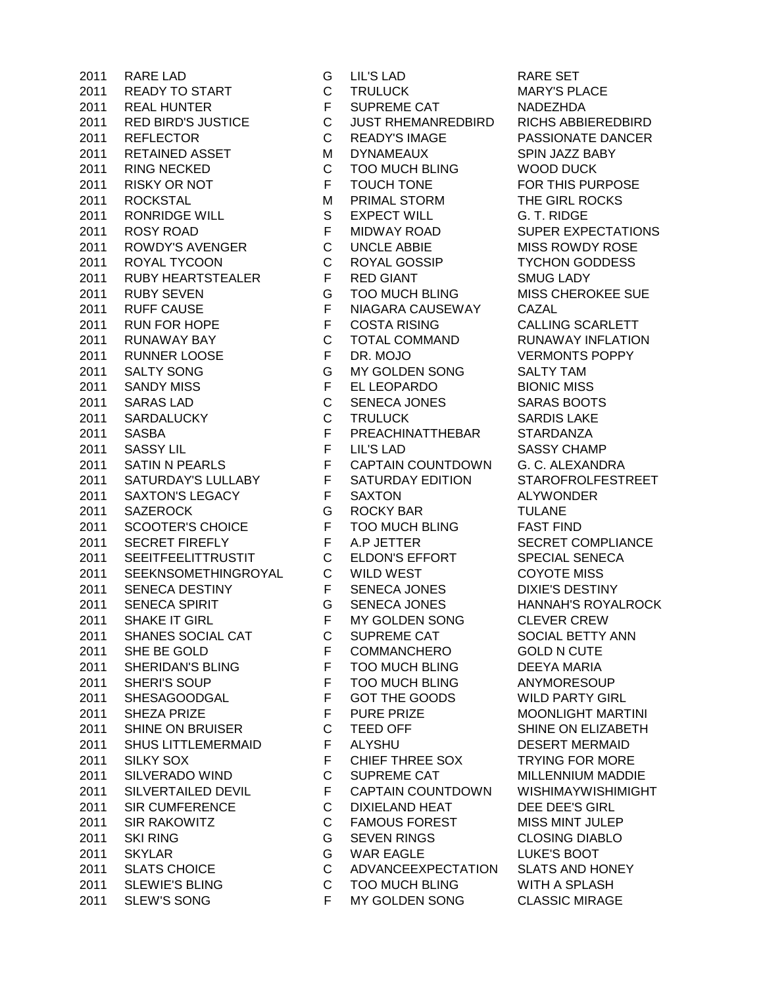2011 RARE LAD G LIL'S LAD RARE SET 2011 READY TO START C TRULUCK MARY'S PLACE 2011 REAL HUNTER F SUPREME CAT NADEZHDA 2011 RED BIRD'S JUSTICE C JUST RHEMANREDBIRD RICHS ABBIEREDBIRD 2011 REFLECTOR C READY'S IMAGE PASSIONATE DANCER 2011 RETAINED ASSET MIDYNAMEAUX SPIN JAZZ BABY 2011 RING NECKED C TOO MUCH BLING WOOD DUCK 2011 RISKY OR NOT **FUGILY OF TOUCH TONE** FOR THIS PURPOSE 2011 ROCKSTAL M PRIMAL STORM THE GIRL ROCKS 2011 RONRIDGE WILL S EXPECT WILL G. T. RIDGE 2011 ROSY ROAD F MIDWAY ROAD SUPER EXPECTATIONS 2011 ROWDY'S AVENGER C UNCLE ABBIE MISS ROWDY ROSE 2011 ROYAL TYCOON C ROYAL GOSSIP TYCHON GODDESS 2011 RUBY HEARTSTEALER F RED GIANT SMUG LADY 2011 RUBY SEVEN G TOO MUCH BLING MISS CHEROKEE SUE 2011 RUFF CAUSE **FINIAGARA CAUSEWAY CAZAL** 2011 RUN FOR HOPE F COSTA RISING CALLING SCARLETT 2011 RUNAWAY BAY C TOTAL COMMAND RUNAWAY INFLATION 2011 RUNNER LOOSE F DR. MOJO VERMONTS POPPY 2011 SALTY SONG G MY GOLDEN SONG SALTY TAM 2011 SANDY MISS F EL LEOPARDO BIONIC MISS 2011 SARAS LAD C SENECA JONES SARAS BOOTS 2011 SARDALUCKY C TRULUCK SARDIS LAKE 2011 SASBA F PREACHINATTHEBAR STARDANZA 2011 SASSY LIL F LIL'S LAD SASSY CHAMP 2011 SATIN N PEARLS F CAPTAIN COUNTDOWN G. C. ALEXANDRA 2011 SATURDAY'S LULLABY F SATURDAY EDITION STAROFROLFESTREET 2011 SAXTON'S LEGACY F SAXTON ALYWONDER 2011 SAZEROCK G ROCKY BAR TULANE 2011 SCOOTER'S CHOICE F TOO MUCH BLING FAST FIND<br>2011 SECRET FIREFLY F A.P JETTER SECRET CO 2011 SECRET FIREFLY F A.P JETTER SECRET COMPLIANCE 2011 SEEITFEELITTRUSTIT C ELDON'S EFFORT SPECIAL SENECA 2011 SEEKNSOMETHINGROYAL C WILD WEST COYOTE MISS 2011 SENECA DESTINY F SENECA JONES DIXIE'S DESTINY 2011 SENECA SPIRIT G SENECA JONES HANNAH'S ROYALROCK 2011 SHAKE IT GIRL F MY GOLDEN SONG CLEVER CREW 2011 SHANES SOCIAL CAT C SUPREME CAT SOCIAL BETTY ANN 2011 SHE BE GOLD F COMMANCHERO GOLD N CUTE 2011 SHERIDAN'S BLING F TOO MUCH BLING DEEYA MARIA 2011 SHERI'S SOUP F TOO MUCH BLING ANYMORESOUP 2011 SHESAGOODGAL F GOT THE GOODS WILD PARTY GIRL 2011 SHEZA PRIZE F PURE PRIZE MOONLIGHT MARTINI 2011 SHINE ON BRUISER C TEED OFF SHINE ON ELIZABETH 2011 SHUS LITTLEMERMAID F ALYSHU DESERT MERMAID 2011 SILKY SOX F CHIEF THREE SOX TRYING FOR MORE 2011 SILVERADO WIND C SUPREME CAT MILLENNIUM MADDIE 2011 SILVERTAILED DEVIL F CAPTAIN COUNTDOWN WISHIMAYWISHIMIGHT 2011 SIR CUMFERENCE C DIXIELAND HEAT DEE DEE'S GIRL 2011 SIR RAKOWITZ C FAMOUS FOREST MISS MINT JULEP 2011 SKI RING G SEVEN RINGS CLOSING DIABLO 2011 SKYLAR G WAR EAGLE LUKE'S BOOT 2011 SLATS CHOICE C ADVANCEEXPECTATION SLATS AND HONEY 2011 SLEWIE'S BLING C TOO MUCH BLING WITH A SPLASH 2011 SLEW'S SONG F MY GOLDEN SONG CLASSIC MIRAGE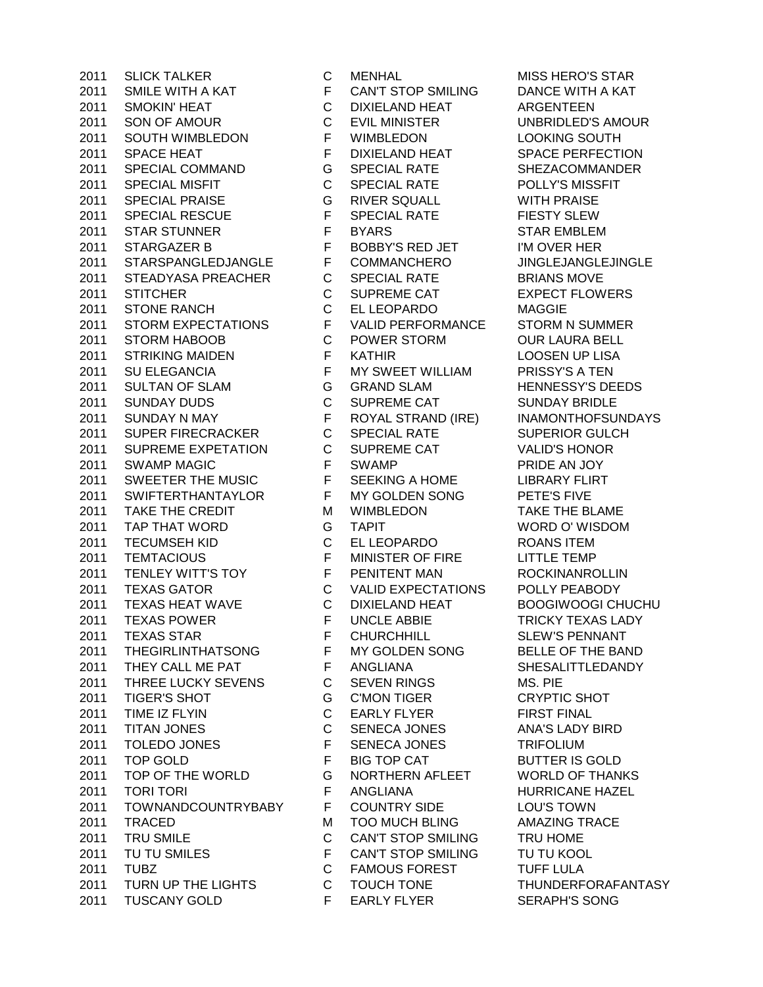2011 SLICK TALKER C MENHAL MISS HERO'S STAR 2011 SMILE WITH A KAT FCAN'T STOP SMILING DANCE WITH A KAT 2011 SMOKIN' HEAT C DIXIELAND HEAT ARGENTEEN 2011 SON OF AMOUR C EVIL MINISTER UNBRIDLED'S AMOUR 2011 SOUTH WIMBLEDON F WIMBLEDON LOOKING SOUTH 2011 SPACE HEAT **F** DIXIELAND HEAT SPACE PERFECTION 2011 SPECIAL COMMAND G SPECIAL RATE SHEZACOMMANDER 2011 SPECIAL MISFIT C SPECIAL RATE POLLY'S MISSFIT 2011 SPECIAL PRAISE G RIVER SQUALL WITH PRAISE 2011 SPECIAL RESCUE F SPECIAL RATE FIESTY SLEW 2011 STAR STUNNER FBYARS STAR EMBLEM 2011 STARGAZER B F BOBBY'S RED JET I'M OVER HER 2011 STARSPANGLEDJANGLE F COMMANCHERO JINGLEJANGLEJINGLE 2011 STEADYASA PREACHER C SPECIAL RATE BRIANS MOVE 2011 STITCHER C SUPREME CAT EXPECT FLOWERS 2011 STONE RANCH C EL LEOPARDO MAGGIE 2011 STORM EXPECTATIONS F VALID PERFORMANCE STORM N SUMMER 2011 STORM HABOOB C POWER STORM OUR LAURA BELL 2011 STRIKING MAIDEN F KATHIR LOOSEN UP LISA 2011 SU ELEGANCIA F MY SWEET WILLIAM PRISSY'S A TEN 2011 SULTAN OF SLAM G GRAND SLAM HENNESSY'S DEEDS 2011 SUNDAY DUDS C SUPREME CAT SUNDAY BRIDLE 2011 SUNDAY N MAY F ROYAL STRAND (IRE) INAMONTHOFSUNDAYS 2011 SUPER FIRECRACKER C SPECIAL RATE SUPERIOR GULCH 2011 SUPREME EXPETATION C SUPREME CAT VALID'S HONOR 2011 SWAMP MAGIC **F** SWAMP PRIDE AN JOY 2011 SWEETER THE MUSIC F SEEKING A HOME LIBRARY FLIRT 2011 SWIFTERTHANTAYLOR F MY GOLDEN SONG PETE'S FIVE 2011 TAKE THE CREDIT M WIMBLEDON TAKE THE BLAME 2011 TAP THAT WORD G TAPIT WORD O' WISDOM 2011 TECUMSEH KID C EL LEOPARDO ROANS ITEM 2011 TEMTACIOUS F MINISTER OF FIRE LITTLE TEMP 2011 TENLEY WITT'S TOY F PENITENT MAN ROCKINANROLLIN 2011 TEXAS GATOR C VALID EXPECTATIONS POLLY PEABODY 2011 TEXAS HEAT WAVE C DIXIELAND HEAT BOOGIWOOGI CHUCHU 2011 FEXAS POWER TRICKY TEXAS LADY 2011 TEXAS STAR F CHURCHHILL SLEW'S PENNANT 2011 THEGIRLINTHATSONG F MY GOLDEN SONG BELLE OF THE BAND 2011 THEY CALL ME PAT F ANGLIANA SHESALITTLEDANDY 2011 THREE LUCKY SEVENS C SEVEN RINGS MS. PIE 2011 TIGER'S SHOT G C'MON TIGER CRYPTIC SHOT 2011 TIME IZ FLYIN C EARLY FLYER FIRST FINAL 2011 TITAN JONES C SENECA JONES ANA'S LADY BIRD 2011 TOLEDO JONES F SENECA JONES TRIFOLIUM 2011 TOP GOLD F BIG TOP CAT BUTTER IS GOLD 2011 TOP OF THE WORLD G NORTHERN AFLEET WORLD OF THANKS 2011 TORI TORI **F** ANGLIANA HURRICANE HAZEL 2011 TOWNANDCOUNTRYBABY F COUNTRY SIDE LOU'S TOWN 2011 TRACED M TOO MUCH BLING AMAZING TRACE 2011 TRU SMILE C CAN'T STOP SMILING TRU HOME 2011 TU TU SMILES F CAN'T STOP SMILING TU TU KOOL 2011 TUBZ C FAMOUS FOREST TUFF LULA 2011 TURN UP THE LIGHTS C TOUCH TONE THUNDERFORAFANTASY 2011 TUSCANY GOLD F EARLY FLYER SERAPH'S SONG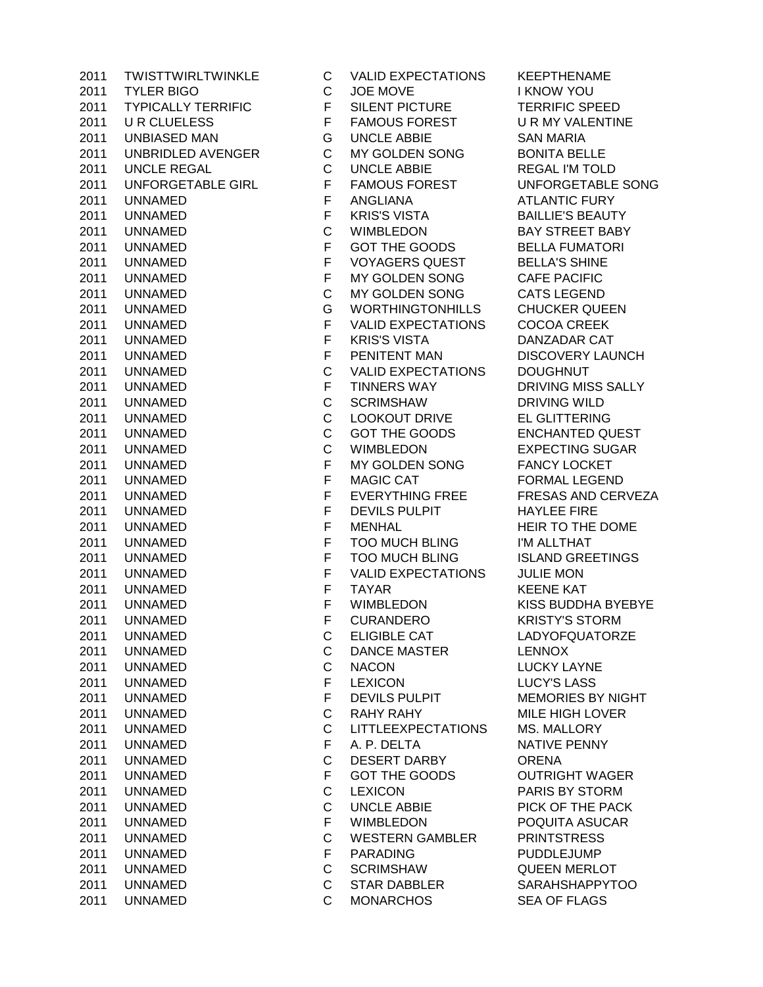| 2011 | IWISTIWIRLIWIN          |
|------|-------------------------|
| 2011 | TYLER BIGO              |
| 2011 | <b>TYPICALLY TERRIF</b> |
| 2011 | <b>U R CLUELESS</b>     |
| 2011 | <b>UNBIASED MAN</b>     |
| 2011 | <b>UNBRIDLED AVEN</b>   |
| 2011 | <b>UNCLE REGAL</b>      |
| 2011 | UNFORGETABLE G          |
| 2011 | UNNAMED                 |
| 2011 | UNNAMED                 |
| 2011 | UNNAMED                 |
| 2011 | UNNAMED                 |
| 2011 | UNNAMED                 |
| 2011 | UNNAMED                 |
| 2011 | UNNAMED                 |
| 2011 | UNNAMED                 |
| 2011 | UNNAMED                 |
| 2011 | UNNAMED                 |
| 2011 | <b>UNNAMED</b>          |
| 2011 | <b>UNNAMED</b>          |
|      |                         |
| 2011 | <b>UNNAMED</b>          |
| 2011 | UNNAMED                 |
| 2011 | UNNAMED                 |
| 2011 | UNNAMED                 |
| 2011 | UNNAMED                 |
| 2011 | UNNAMED                 |
| 2011 | UNNAMED                 |
| 2011 | UNNAMED                 |
| 2011 | UNNAMED                 |
| 2011 | UNNAMED                 |
| 2011 | UNNAMED                 |
| 2011 | <b>UNNAMED</b>          |
| 2011 | UNNAMED                 |
| 2011 | UNNAMED                 |
| 2011 | UNNAMED                 |
| 2011 | UNNAMED                 |
| 2011 | UNNAMED                 |
| 2011 | UNNAMED                 |
| 2011 | UNNAMED                 |
| 2011 | UNNAMED                 |
| 2011 | UNNAMED                 |
| 2011 | UNNAMED                 |
| 2011 | <b>UNNAMED</b>          |
| 2011 | <b>UNNAMED</b>          |
| 2011 | UNNAMED                 |
| 2011 | UNNAMED                 |
| 2011 | UNNAMED                 |
| 2011 | UNNAMED                 |
| 2011 | <b>UNNAMED</b>          |
| 2011 | UNNAMED                 |
| 2011 | UNNAMED                 |
| 2011 | UNNAMED                 |
| 2011 | UNNAMED                 |
| 2011 | <b>UNNAMED</b>          |
|      |                         |

2011 TWISTTWIRLTWINKLE C VALID EXPECTATIONS KEEPTHENAME C JOE MOVE I KNOW YOU FIC F SILENT PICTURE TERRIFIC SPEED F FAMOUS FOREST U R MY VALENTINE G UNCLE ABBIE SAN MARIA 3011 GER C MY GOLDEN SONG BONITA BELLE C UNCLE ABBIE REGAL I'M TOLD 2012 THE FAMOUS FOREST THE UNFORGETABLE SONG F ANGLIANA ATLANTIC FURY F KRIS'S VISTA BAILLIE'S BEAUTY C WIMBLEDON BAY STREET BABY F GOT THE GOODS BELLA FUMATORI F VOYAGERS QUEST BELLA'S SHINE F MY GOLDEN SONG CAFE PACIFIC C MY GOLDEN SONG CATS LEGEND G WORTHINGTONHILLS CHUCKER QUEEN F VALID EXPECTATIONS COCOA CREEK F KRIS'S VISTA DANZADAR CAT F PENITENT MAN DISCOVERY LAUNCH C VALID EXPECTATIONS DOUGHNUT F TINNERS WAY DRIVING MISS SALLY C SCRIMSHAW DRIVING WILD C LOOKOUT DRIVE EL GLITTERING C GOT THE GOODS ENCHANTED QUEST C WIMBLEDON EXPECTING SUGAR F MY GOLDEN SONG FANCY LOCKET F MAGIC CAT FORMAL LEGEND F EVERYTHING FREE FRESAS AND CERVEZA F DEVILS PULPIT HAYLEE FIRE F MENHAL HEIR TO THE DOME F TOO MUCH BLING I'M ALLTHAT F TOO MUCH BLING ISLAND GREETINGS F VALID EXPECTATIONS JULIE MON F TAYAR KEENE KAT F WIMBLEDON KISS BUDDHA BYEBYE F CURANDERO KRISTY'S STORM C ELIGIBLE CAT LADYOFQUATORZE C DANCE MASTER LENNOX C NACON LUCKY LAYNE F LEXICON LUCY'S LASS F DEVILS PULPIT MEMORIES BY NIGHT C RAHY RAHY MILE HIGH LOVER C LITTLEEXPECTATIONS MS. MALLORY F A. P. DELTA NATIVE PENNY C DESERT DARBY ORENA F GOT THE GOODS OUTRIGHT WAGER C LEXICON PARIS BY STORM C UNCLE ABBIE PICK OF THE PACK F WIMBLEDON POQUITA ASUCAR C WESTERN GAMBLER PRINTSTRESS F PARADING PUDDLEJUMP C SCRIMSHAW QUEEN MERLOT C STAR DABBLER SARAHSHAPPYTOO C MONARCHOS SEA OF FLAGS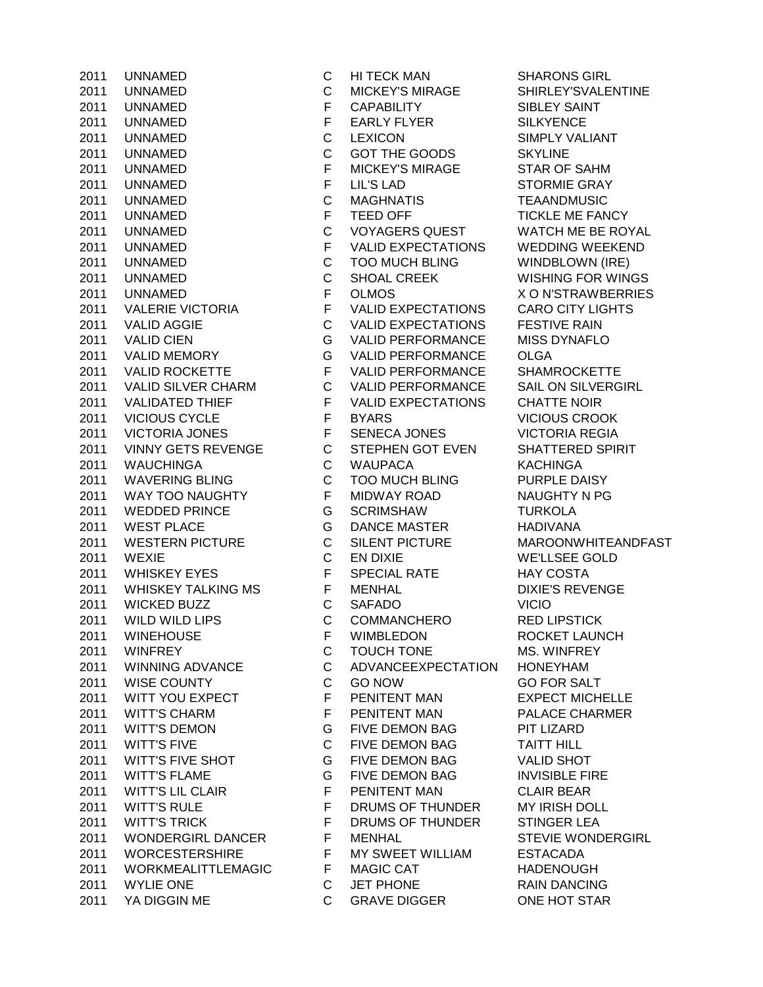UNNAMED C MICKEY'S MIRAGE SHIRLEY'SVALENTINE 2011 UNNAMED F CAPABILITY SIBLEY SAINT 2011 UNNAMED F EARLY FLYER SILKYENCE UNNAMED C LEXICON SIMPLY VALIANT UNNAMED C GOT THE GOODS SKYLINE 2011 UNNAMED F MICKEY'S MIRAGE STAR OF SAHM UNNAMED F LIL'S LAD STORMIE GRAY UNNAMED C MAGHNATIS TEAANDMUSIC 2011 UNNAMED F TEED OFF THE TICKLE ME FANCY UNNAMED C VOYAGERS QUEST WATCH ME BE ROYAL UNNAMED F VALID EXPECTATIONS WEDDING WEEKEND UNNAMED C TOO MUCH BLING WINDBLOWN (IRE) 2011 UNNAMED C SHOAL CREEK WISHING FOR WINGS UNNAMED F OLMOS X O N'STRAWBERRIES VALERIE VICTORIA F VALID EXPECTATIONS CARO CITY LIGHTS VALID AGGIE C VALID EXPECTATIONS FESTIVE RAIN VALID CIEN G VALID PERFORMANCE MISS DYNAFLO VALID MEMORY G VALID PERFORMANCE OLGA 2011 VALID ROCKETTE F VALID PERFORMANCE SHAMROCKETTE VALID SILVER CHARM C VALID PERFORMANCE SAIL ON SILVERGIRL 2011 VALIDATED THIEF F VALID EXPECTATIONS CHATTE NOIR VICIOUS CYCLE F BYARS VICIOUS CROOK 2011 VICTORIA JONES F SENECA JONES VICTORIA REGIA VINNY GETS REVENGE C STEPHEN GOT EVEN SHATTERED SPIRIT WAUCHINGA C WAUPACA KACHINGA WAVERING BLING C TOO MUCH BLING PURPLE DAISY 2011 WAY TOO NAUGHTY F MIDWAY ROAD NAUGHTY N PG WEDDED PRINCE G SCRIMSHAW TURKOLA WEST PLACE G DANCE MASTER HADIVANA WESTERN PICTURE C SILENT PICTURE MAROONWHITEANDFAST WEXIE C EN DIXIE WE'LLSEE GOLD 2011 WHISKEY EYES F SPECIAL RATE HAY COSTA 2011 WHISKEY TALKING MS F MENHAL THE DIXIE'S REVENGE WICKED BUZZ C SAFADO VICIO WILD WILD LIPS C COMMANCHERO RED LIPSTICK WINEHOUSE F WIMBLEDON ROCKET LAUNCH WINFREY C TOUCH TONE MS. WINFREY WINNING ADVANCE C ADVANCEEXPECTATION HONEYHAM WISE COUNTY C GO NOW GO FOR SALT 2011 WITT YOU EXPECT THE PENITENT MAN F PENITENT MAN EXPECT MICHELLE<br>2011 WITT'S CHARM F PENITENT MAN PALACE CHARMER 2011 WITT'S CHARM **F** PENITENT MAN PALACE CHARMER WITT'S DEMON G FIVE DEMON BAG PIT LIZARD WITT'S FIVE C FIVE DEMON BAG TAITT HILL WITT'S FIVE SHOT G FIVE DEMON BAG VALID SHOT 2011 WITT'S FLAME G FIVE DEMON BAG INVISIBLE FIRE 2011 WITT'S LIL CLAIR **FILL ASSAULTENT MAN** CLAIR BEAR WITT'S RULE F DRUMS OF THUNDER MY IRISH DOLL 2011 WITT'S TRICK F DRUMS OF THUNDER STINGER LEA WONDERGIRL DANCER F MENHAL STEVIE WONDERGIRL WORCESTERSHIRE F MY SWEET WILLIAM ESTACADA 2011 WORKMEALITTLEMAGIC F MAGIC CAT HADENOUGH WYLIE ONE C JET PHONE RAIN DANCING 2011 YA DIGGIN ME C GRAVE DIGGER ONE HOT STAR

UNNAMED C HI TECK MAN SHARONS GIRL